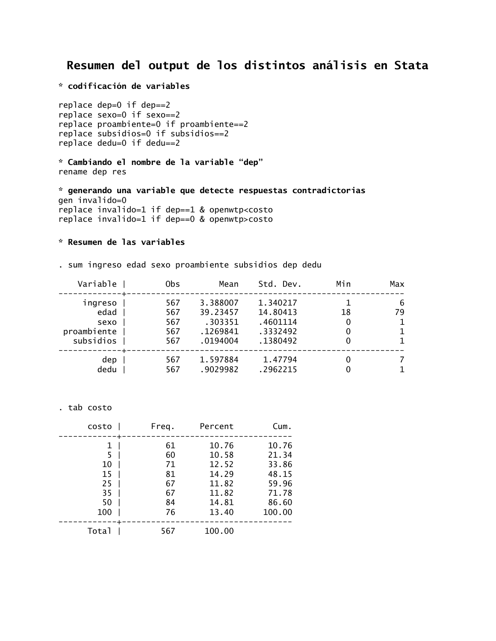# **Resumen del output de los distintos análisis en Stata**

**\* codificación de variables**

replace dep=0 if dep==2 replace sexo=0 if sexo==2 replace proambiente=0 if proambiente==2 replace subsidios=0 if subsidios==2 replace dedu=0 if dedu==2

**\* Cambiando el nombre de la variable "dep"** rename dep res

**\* generando una variable que detecte respuestas contradictorias** gen invalido=0 replace invalido=1 if dep==1 & openwtp<costo replace invalido=1 if dep==0 & openwtp>costo

## **\* Resumen de las variables**

. sum ingreso edad sexo proambiente subsidios dep dedu

| Variable                 | 0bs        | Mean                 | Std. Dev.            | Min | Max     |
|--------------------------|------------|----------------------|----------------------|-----|---------|
| ingreso<br>edad          | 567<br>567 | 3.388007<br>39.23457 | 1.340217<br>14.80413 | 18  | 6<br>79 |
| sexo                     | 567        | .303351              | .4601114             |     |         |
| proambiente<br>subsidios | 567<br>567 | .1269841<br>.0194004 | .3332492<br>.1380492 |     |         |
| dep                      | 567        | 1.597884             | 1.47794              |     |         |
| dedu                     | 567        | .9029982             | .2962215             |     |         |

. tab costo

| costo | Freq. | Percent | Cum.   |
|-------|-------|---------|--------|
|       | 61    | 10.76   | 10.76  |
| 5     | 60    | 10.58   | 21.34  |
| 10    | 71    | 12.52   | 33.86  |
| 15    | 81    | 14.29   | 48.15  |
| 25    | 67    | 11.82   | 59.96  |
| 35    | 67    | 11.82   | 71.78  |
| 50    | 84    | 14.81   | 86.60  |
| 100   | 76    | 13.40   | 100.00 |
| Total | 567   | 100.00  |        |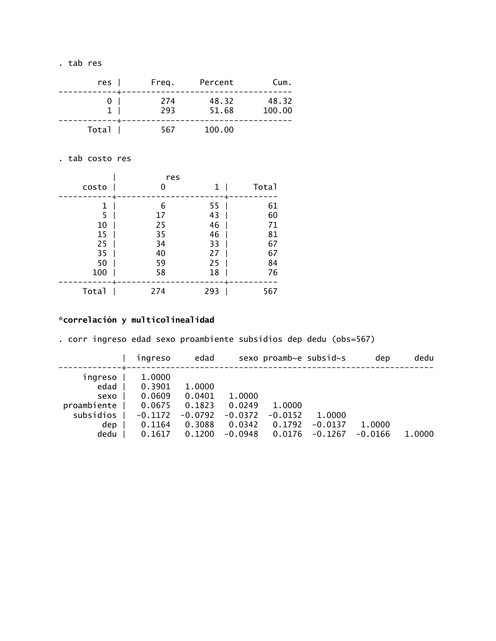. tab res

| Cum.            | Percent        | Freg.      | $res$   |
|-----------------|----------------|------------|---------|
| 48.32<br>100.00 | 48.32<br>51.68 | 274<br>293 | 0<br>1. |
|                 | 100.00         | 567        | Total   |

. tab costo res

| costo                                       |                                             | res<br>1                                     | Total                                             |
|---------------------------------------------|---------------------------------------------|----------------------------------------------|---------------------------------------------------|
| 1<br>5<br>10<br>15<br>25<br>35<br>50<br>100 | 6<br>17<br>25<br>35<br>34<br>40<br>59<br>58 | 55<br>43<br>46<br>46<br>33<br>27<br>25<br>18 | ٠<br>61<br>60<br>71<br>81<br>67<br>67<br>84<br>76 |
| Total                                       | 274                                         | 293                                          | 567                                               |

## **\*correlación y multicolinealidad**

. corr ingreso edad sexo proambiente subsidios dep dedu (obs=567)

|             | ingreso   | edad      |           | sexo proamb~e subsid~s |           | dep       | dedu   |
|-------------|-----------|-----------|-----------|------------------------|-----------|-----------|--------|
| ingreso     | 1,0000    |           |           |                        |           |           |        |
| edad        | 0.3901    | 1.0000    |           |                        |           |           |        |
| sexo        | 0.0609    | 0.0401    | 1.0000    |                        |           |           |        |
| proambiente | 0.0675    | 0.1823    | 0.0249    | 1.0000                 |           |           |        |
| subsidios   | $-0.1172$ | $-0.0792$ | $-0.0372$ | $-0.0152$              | 1.0000    |           |        |
| dep         | 0.1164    | 0.3088    | 0.0342    | 0.1792                 | $-0.0137$ | 1.0000    |        |
| dedu        | 0.1617    | 0.1200    | $-0.0948$ | 0.0176                 | $-0.1267$ | $-0.0166$ | 1.0000 |
|             |           |           |           |                        |           |           |        |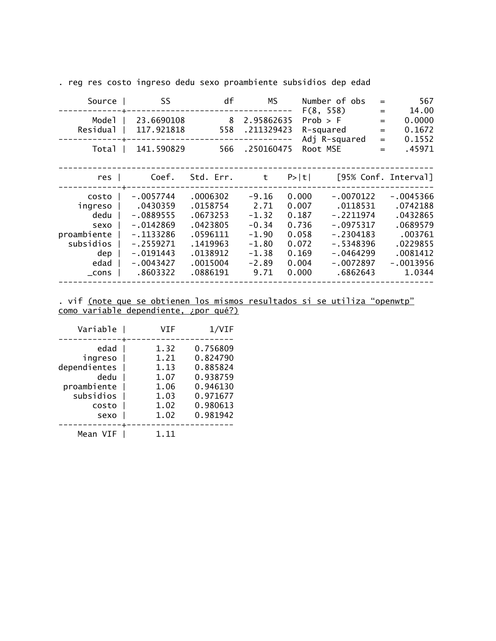. reg res costo ingreso dedu sexo proambiente subsidios dep edad

| Source                                                                                  | SS                                                                                                                            | df                                                                                                       | МS                                                                                        | Number of obs                                                                                                                                                                          | $=$                                    | 567                                                                                                        |
|-----------------------------------------------------------------------------------------|-------------------------------------------------------------------------------------------------------------------------------|----------------------------------------------------------------------------------------------------------|-------------------------------------------------------------------------------------------|----------------------------------------------------------------------------------------------------------------------------------------------------------------------------------------|----------------------------------------|------------------------------------------------------------------------------------------------------------|
| Mode <sub>1</sub><br>Residual                                                           | 23.6690108<br>117.921818                                                                                                      | 8<br>558                                                                                                 | 2.95862635<br>.211329423                                                                  | F(8, 558)<br>Prob > F<br>R-squared<br>Adj R-squared                                                                                                                                    | $=$<br>$\qquad \qquad =$<br>$=$<br>$=$ | 14.00<br>0.0000<br>0.1672<br>0.1552                                                                        |
| Total                                                                                   | 141.590829                                                                                                                    | 566                                                                                                      | .250160475                                                                                | Root MSE                                                                                                                                                                               | $=$                                    | .45971                                                                                                     |
| res                                                                                     | Coef.                                                                                                                         | Std. Err.                                                                                                | t                                                                                         | $P> \tau $                                                                                                                                                                             |                                        | [95% Conf. Interval]                                                                                       |
| costo<br>ingreso<br>dedu<br>sexo<br>proambiente<br>subsidios<br>dep<br>edad<br>$\_cons$ | $-.0057744$<br>.0430359<br>$-.0889555$<br>$-.0142869$<br>$-.1133286$<br>$-.2559271$<br>$-.0191443$<br>$-.0043427$<br>.8603322 | .0006302<br>.0158754<br>.0673253<br>.0423805<br>.0596111<br>.1419963<br>.0138912<br>.0015004<br>.0886191 | $-9.16$<br>2.71<br>$-1.32$<br>$-0.34$<br>$-1.90$<br>$-1.80$<br>$-1.38$<br>$-2.89$<br>9.71 | $-.0070122$<br>0.000<br>0.007<br>0.187<br>$-.2211974$<br>$-.0975317$<br>0.736<br>$-.2304183$<br>0.058<br>$-.5348396$<br>0.072<br>$-.0464299$<br>0.169<br>0.004<br>$-.0072897$<br>0.000 | .0118531<br>.6862643                   | $-.0045366$<br>.0742188<br>.0432865<br>.0689579<br>.003761<br>.0229855<br>.0081412<br>$-0013956$<br>1.0344 |

#### . vif (note que se obtienen los mismos resultados si se utiliza "openwtp" como variable dependiente, ¿por qué?)

| Variable     | VTF  | 1/VIF    |
|--------------|------|----------|
|              |      |          |
| edad         | 1.32 | 0.756809 |
| ingreso      | 1.21 | 0.824790 |
| dependientes | 1.13 | 0.885824 |
| dedu         | 1.07 | 0.938759 |
| proambiente  | 1.06 | 0.946130 |
| subsidios    | 1.03 | 0.971677 |
| costo        | 1.02 | 0.980613 |
| sexo         | 1.02 | 0.981942 |
|              |      |          |
| Mean VIF     | 1 11 |          |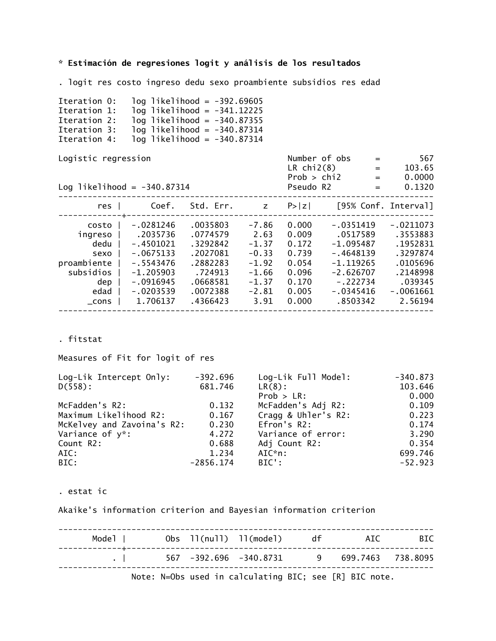**\* Estimación de regresiones logit y análisis de los resultados**

. logit res costo ingreso dedu sexo proambiente subsidios res edad

| Iteration 0:<br>Iteration 1:<br>Iteration 2:<br>Iteration 3:<br>Iteration 4:                                   |                                                                                                                             | log likelihood = -392.69605<br>$log$ likelihood = $-341.12225$<br>$log$ likelihood = $-340.87355$<br>$log$ likelihood = $-340.87314$<br>$log$ likelihood = $-340.87314$ |                                                                                       |                                                                               |                                                                                                                  |                                                                                                              |
|----------------------------------------------------------------------------------------------------------------|-----------------------------------------------------------------------------------------------------------------------------|-------------------------------------------------------------------------------------------------------------------------------------------------------------------------|---------------------------------------------------------------------------------------|-------------------------------------------------------------------------------|------------------------------------------------------------------------------------------------------------------|--------------------------------------------------------------------------------------------------------------|
| Logistic regression<br>Log likelihood = $-340.87314$                                                           |                                                                                                                             |                                                                                                                                                                         |                                                                                       | Pseudo R2                                                                     | Number of $obs$ =<br>LR $chi2(8)$ =<br>$Prob > chi2$ =<br>$=$                                                    | 567<br>103.65<br>0.0000<br>0.1320                                                                            |
|                                                                                                                |                                                                                                                             |                                                                                                                                                                         |                                                                                       |                                                                               | res   Coef. Std. Err. z P> z  [95% Conf. Interval]                                                               |                                                                                                              |
| costo <sub>l</sub><br>ingreso  <br>dedu  <br>sexo  <br>proambiente  <br>subsidios  <br>dep<br>edad<br>$\_cons$ | -.0281246<br>.2035736<br>$-.4501021$<br>$-.0675133$<br>$-.5543476$<br>$-1.205903$<br>$-.0916945$<br>$-.0203539$<br>1.706137 | .0035803<br>.0774579<br>.3292842<br>.2027081<br>.2882283<br>.724913<br>.0668581<br>.0072388<br>.4366423                                                                 | -7.86<br>2.63<br>$-1.37$<br>$-0.33$<br>$-1.92$<br>$-1.66$<br>$-1.37$<br>-2.81<br>3.91 | 0.000<br>0.009<br>0.172<br>0.739<br>0.054<br>0.096<br>0.170<br>0.005<br>0.000 | -.0351419<br>.0517589<br>-1.095487<br>$-.4648139$<br>-1.119265<br>-2.626707<br>-.222734<br>-.0345416<br>.8503342 | $-.0211073$<br>.3553883<br>.1952831<br>.3297874<br>.0105696<br>.2148998<br>.039345<br>$-.0061661$<br>2.56194 |

. fitstat

Measures of Fit for logit of res

| Log-Lik Intercept Only:    | $-392.696$  | Log-Lik Full Model: | $-340.873$ |
|----------------------------|-------------|---------------------|------------|
| $D(558)$ :                 | 681.746     | $LR(8)$ :           | 103.646    |
|                            |             | $Prob > LR$ :       | 0.000      |
| McFadden's R2:             | 0.132       | McFadden's Adj R2:  | 0.109      |
| Maximum Likelihood R2:     | 0.167       | Cragg & Uhler's R2: | 0.223      |
| McKelvey and Zavoina's R2: | 0.230       | Efron's R2:         | 0.174      |
| Variance of y*:            | 4.272       | Variance of error:  | 3.290      |
| Count R2:                  | 0.688       | Adj Count R2:       | 0.354      |
| AIC:                       | 1.234       | AIC*n:              | 699.746    |
| BIC:                       | $-2856.174$ | BIC':               | $-52.923$  |

. estat ic

Akaike's information criterion and Bayesian information criterion

| Model I |                                            | Obs 11(nu11) 11(mode1) df | ATC                                                    | BIC |
|---------|--------------------------------------------|---------------------------|--------------------------------------------------------|-----|
|         | $\mathbf{L}$ . The same state $\mathbf{L}$ |                           |                                                        |     |
|         |                                            |                           | Note: N=Obs used in calculating BIC; see [R] BIC note. |     |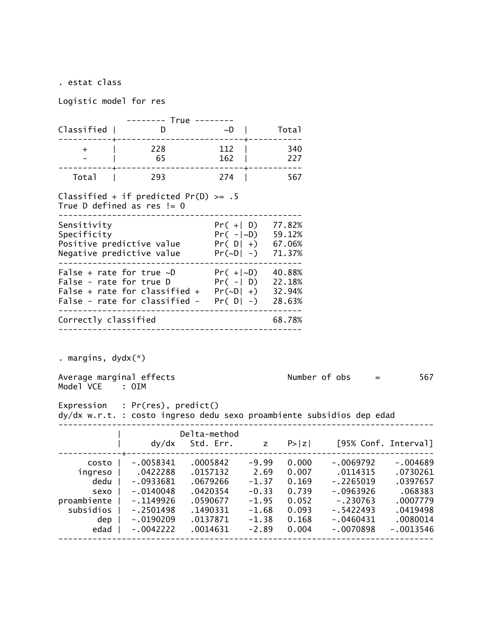. estat class

Logistic model for res

|                                            | -------- True --------                                                                                                                                                                                     |                                              |                               |                                          |                                                         |                                             |
|--------------------------------------------|------------------------------------------------------------------------------------------------------------------------------------------------------------------------------------------------------------|----------------------------------------------|-------------------------------|------------------------------------------|---------------------------------------------------------|---------------------------------------------|
| Classified                                 |                                                                                                                                                                                                            |                                              |                               | Total                                    |                                                         |                                             |
| $+$ $ $                                    | 228 112                                                                                                                                                                                                    |                                              |                               | 340                                      |                                                         |                                             |
|                                            | $-$   65                                                                                                                                                                                                   |                                              | 162   227                     |                                          |                                                         |                                             |
| Total                                      | 293 274   567                                                                                                                                                                                              |                                              |                               |                                          |                                                         |                                             |
|                                            | Classified + if predicted Pr(D) >= $.5$<br>True D defined as res $!= 0$                                                                                                                                    |                                              |                               |                                          |                                                         |                                             |
| Sensitivity                                | $Pr( +   D)$ 77.82%<br>Negative predictive value $Pr(\sim D \mid -)$ 71.37%                                                                                                                                |                                              |                               |                                          |                                                         |                                             |
|                                            | False + rate for true $\sim D$ Pr( +  $\sim$ D) 40.88%<br>False - rate for true D $Pr(- D)$ 22.18%<br>False + rate for classified + $Pr(-D  +)$ 32.94%<br>False - rate for classified - $Pr([D] -)$ 28.63% |                                              |                               |                                          |                                                         |                                             |
| Correctly classified                       | ed<br>---------------------------                                                                                                                                                                          |                                              |                               | 68.78%                                   |                                                         |                                             |
|                                            |                                                                                                                                                                                                            |                                              |                               |                                          |                                                         |                                             |
| . margins, dydx(*)                         |                                                                                                                                                                                                            |                                              |                               |                                          |                                                         |                                             |
| Model VCE : OIM                            | Average marginal effects                                                                                                                                                                                   |                                              |                               |                                          | Number of $obs =$                                       | 567                                         |
|                                            | Expression : Pr(res), predict()<br>dy/dx w.r.t. : costo ingreso dedu sexo proambiente subsidios dep edad                                                                                                   |                                              |                               |                                          |                                                         |                                             |
|                                            |                                                                                                                                                                                                            | Delta-method                                 |                               |                                          |                                                         |                                             |
|                                            |                                                                                                                                                                                                            |                                              |                               |                                          |                                                         |                                             |
| dedu  <br>sexo<br>proambiente<br>subsidios | costo   -.0058341 .0005842 -9.99 0.000 -.0069792 -.004689<br>ingreso   .0422288 .0157132 2.69 0.007 .0114315 .0730261<br>$-.0933681$<br>$-.0140048$<br>$-.1149926$<br>$-.2501498$                          | .0679266<br>.0420354<br>.0590677<br>.1490331 | $-0.33$<br>$-1.95$<br>$-1.68$ | $-1.37$ 0.169<br>0.739<br>0.052<br>0.093 | $-.2265019$<br>$-.0963926$<br>$-.230763$<br>$-.5422493$ | .0397657<br>.068383<br>.0007779<br>.0419498 |
| dep<br>edad                                | $-.0190209$<br>$-.0042222$                                                                                                                                                                                 | .0137871<br>.0014631                         | $-1.38$<br>$-2.89$            | 0.168<br>0.004                           | $-.0460431$<br>$-.0070898$                              | .0080014<br>$-.0013546$                     |
|                                            |                                                                                                                                                                                                            |                                              |                               |                                          |                                                         |                                             |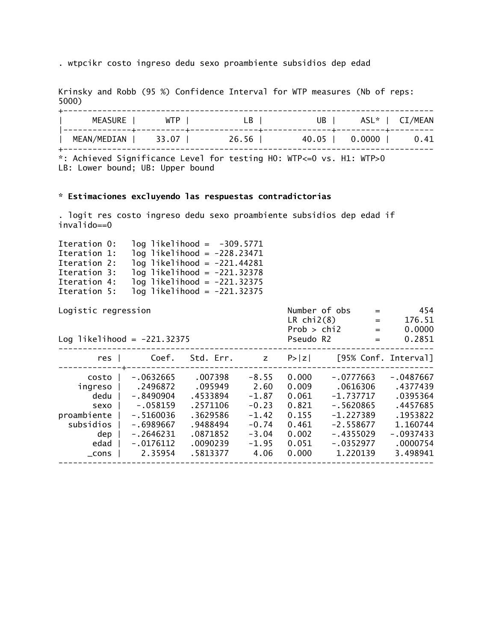. wtpcikr costo ingreso dedu sexo proambiente subsidios dep edad

Krinsky and Robb (95 %) Confidence Interval for WTP measures (Nb of reps: 5000)

| <b>MEASURE</b> | <b>WTP</b> | LB    | UB I  | ASL* I | CI/MEAN |
|----------------|------------|-------|-------|--------|---------|
| MEAN/MEDIAN    | 33.07      | 26.56 | 40.05 | 0.0000 | 0.41    |

\*: Achieved Significance Level for testing H0: WTP<=0 vs. H1: WTP>0 LB: Lower bound; UB: Upper bound

## **\* Estimaciones excluyendo las respuestas contradictorias**

. logit res costo ingreso dedu sexo proambiente subsidios dep edad if invalido==0

| Iteration 0: |  | $log$ likelihood = $-309.5771$  |  |
|--------------|--|---------------------------------|--|
| Iteration 1: |  | $log$ likelihood = -228.23471   |  |
| Iteration 2: |  | $log$ likelihood = -221.44281   |  |
| Iteration 3: |  | $log$ likelihood = $-221.32378$ |  |
| Iteration 4: |  | $log$ likelihood = $-221.32375$ |  |
| Iteration 5: |  | $log$ likelihood = $-221.32375$ |  |

Logistic regression and the Number of obs = 454

| Log likelihood = $-221.32375$                                                           |                                                                                                                              | LR $chi2(8)$<br>Prob > chi2<br>Pseudo R2                                                               | $=$<br>$=$<br>$=$                                                                         | 176.51<br>0.0000<br>0.2851                                                    |                                                                                                                               |                                                                                                              |
|-----------------------------------------------------------------------------------------|------------------------------------------------------------------------------------------------------------------------------|--------------------------------------------------------------------------------------------------------|-------------------------------------------------------------------------------------------|-------------------------------------------------------------------------------|-------------------------------------------------------------------------------------------------------------------------------|--------------------------------------------------------------------------------------------------------------|
| res                                                                                     | Coef.                                                                                                                        | Std. Err.                                                                                              | z                                                                                         | P >  z                                                                        | [95% Conf. Interval]                                                                                                          |                                                                                                              |
| costo<br>ingreso<br>dedu<br>sexo<br>proambiente<br>subsidios<br>dep<br>edad<br>$\_cons$ | $-.0632665$<br>.2496872<br>$-.8490904$<br>$-.058159$<br>$-.5160036$<br>$-0.6989667$<br>$-.2646231$<br>$-.0176112$<br>2.35954 | .007398<br>.095949<br>.4533894<br>.2571106<br>.3629586<br>.9488494<br>.0871852<br>.0090239<br>.5813377 | $-8.55$<br>2.60<br>$-1.87$<br>$-0.23$<br>$-1.42$<br>$-0.74$<br>$-3.04$<br>$-1.95$<br>4.06 | 0.000<br>0.009<br>0.061<br>0.821<br>0.155<br>0.461<br>0.002<br>0.051<br>0.000 | $-.0777663$<br>.0616306<br>$-1.737717$<br>$-.5620865$<br>$-1.227389$<br>$-2.558677$<br>$-.4355029$<br>$-.0352977$<br>1.220139 | $-.0487667$<br>.4377439<br>.0395364<br>.4457685<br>.1953822<br>1.160744<br>-.0937433<br>.0000754<br>3.498941 |
|                                                                                         |                                                                                                                              |                                                                                                        |                                                                                           |                                                                               |                                                                                                                               |                                                                                                              |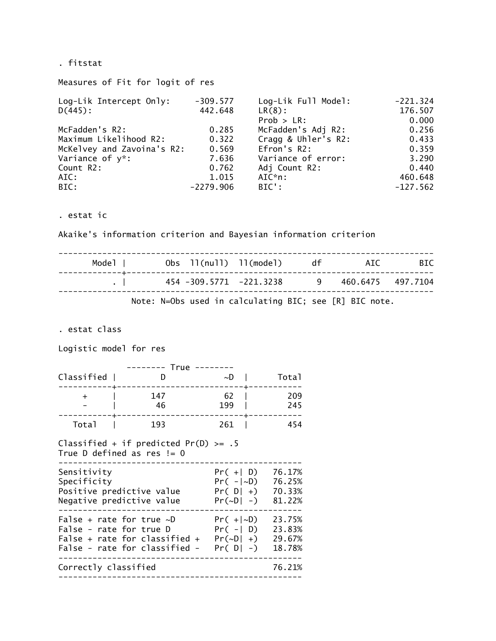. fitstat

Measures of Fit for logit of res

| Log-Lik Intercept Only:    | $-309.577$  | Log-Lik Full Model: | $-221.324$ |
|----------------------------|-------------|---------------------|------------|
| $D(445)$ :                 | 442.648     | $LR(8)$ :           | 176.507    |
|                            |             | $Prob > LR$ :       | 0.000      |
| McFadden's R2:             | 0.285       | McFadden's Adj R2:  | 0.256      |
| Maximum Likelihood R2:     | 0.322       | Cragg & Uhler's R2: | 0.433      |
| McKelvey and Zavoina's R2: | 0.569       | Efron's R2:         | 0.359      |
| Variance of y*:            | 7.636       | Variance of error:  | 3.290      |
| Count R2:                  | 0.762       | Adj Count R2:       | 0.440      |
| AIC:                       | 1.015       | $AIC^*n$ :          | 460.648    |
| BIC:                       | $-2279.906$ | $BIC$ :             | $-127.562$ |

. estat ic

Akaike's information criterion and Bayesian information criterion

| Model I |                              | Obs 11(null) 11(model) df<br>------------------------------------ | ATC                                                    | <b>BIC</b> |
|---------|------------------------------|-------------------------------------------------------------------|--------------------------------------------------------|------------|
|         | $\sim$ 1.0 $\sim$ 1.0 $\sim$ | 454 -309.5771 -221.3238                                           | 9 460.6475 497.7104                                    |            |
|         |                              |                                                                   | Note: N=Obs used in calculating BIC; see [R] BIC note. |            |

. estat class

Logistic model for res

| Classified | $True$ ---- | $\sim$ D  | Total      |
|------------|-------------|-----------|------------|
|            | 147<br>46   | 62<br>199 | 209<br>245 |
| Total      | 193         | 261       | 454        |

#### Classified + if predicted Pr(D) >= .5 True D defined as res != 0

| Sensitivity<br>Specificity<br>Positive predictive value<br>Negative predictive value                                        | $Pr(+  D)$<br>$Pr(- D)$<br>$Pr([D  +)$<br>$Pr(\sim D \mid -)$ | 76.17%<br>76.25%<br>70.33%<br>81.22% |
|-----------------------------------------------------------------------------------------------------------------------------|---------------------------------------------------------------|--------------------------------------|
| False + rate for true $\sim$ D<br>False - rate for true D<br>False + rate for classified +<br>False - rate for classified - | $Pr(+ D)$<br>$Pr(-  D)$<br>$Pr(\sim D \mid +)$<br>$Pr(D -)$   | 23.75%<br>23.83%<br>29.67%<br>18.78% |
| Correctly classified                                                                                                        |                                                               | 76.21%                               |
|                                                                                                                             |                                                               |                                      |